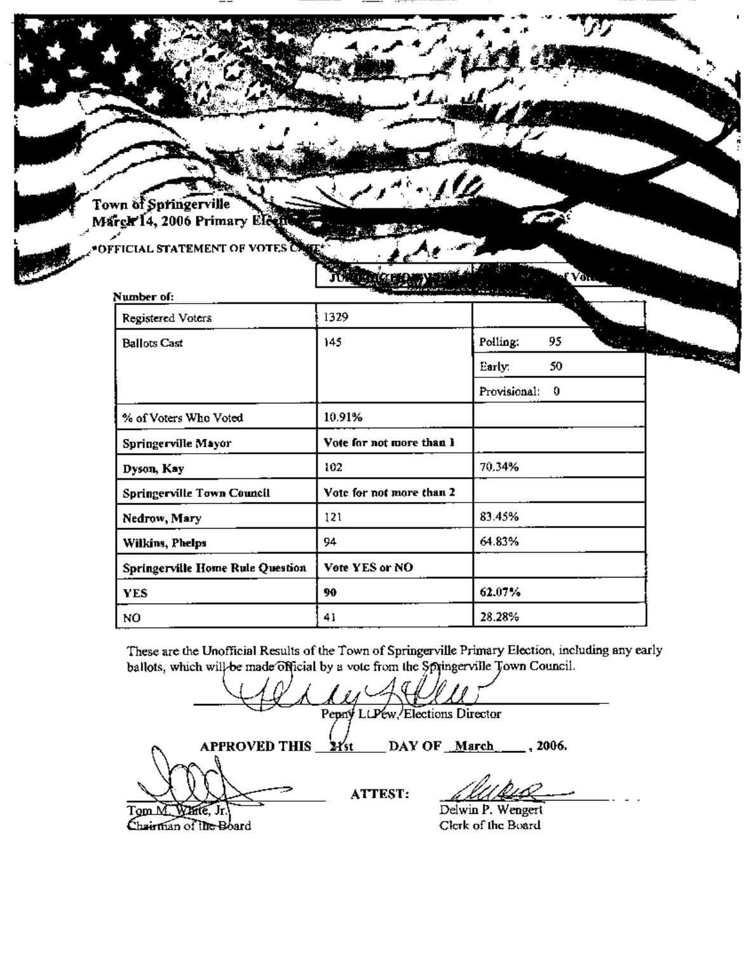Town of Springerville Margir 14, 2006 Primary Ele

OFFICIAL STATEMENT OF VOTES

|                                  | JUTEREZ                  | Y ULTR            |                               |
|----------------------------------|--------------------------|-------------------|-------------------------------|
| Number of:                       |                          |                   |                               |
| Registered Voters                | 1329                     |                   |                               |
| <b>Ballots Cast</b>              | 145                      | 95<br>Polling:    | <b><i>Charles Company</i></b> |
|                                  |                          | 50<br>Early:      |                               |
|                                  |                          | Provisional:<br>0 |                               |
| % of Voters Who Voted            | 10.91%                   |                   |                               |
| Springerville Mayor              | Vote for not more than I |                   |                               |
| Dyson, Kay                       | 102                      | 70.34%            |                               |
| Springerville Town Council       | Vote for not more than 2 |                   |                               |
| Nedrow, Mary                     | 121                      | 83.45%            |                               |
| Wilkins, Phelps                  | 94                       | 64.83%            |                               |
| Springerville Home Rule Question | Vote YES or NO           |                   |                               |
| <b>YES</b>                       | 90                       | 62.07%            |                               |
| NO                               | 41                       | 28.28%            |                               |

These are the Unofficial Results of the Town of Springerville Primary Election, including any early ballots, which will be made official by a vote from the Springerville Town Council.

Pepny LLPew Elections Director **APPROVED THIS\_**  $H_{st}$ DAY OF March 1006. **ATTEST:** Delwin P. Wengert TgmM. Winte, Jr Chairman of the Board Clerk of the Board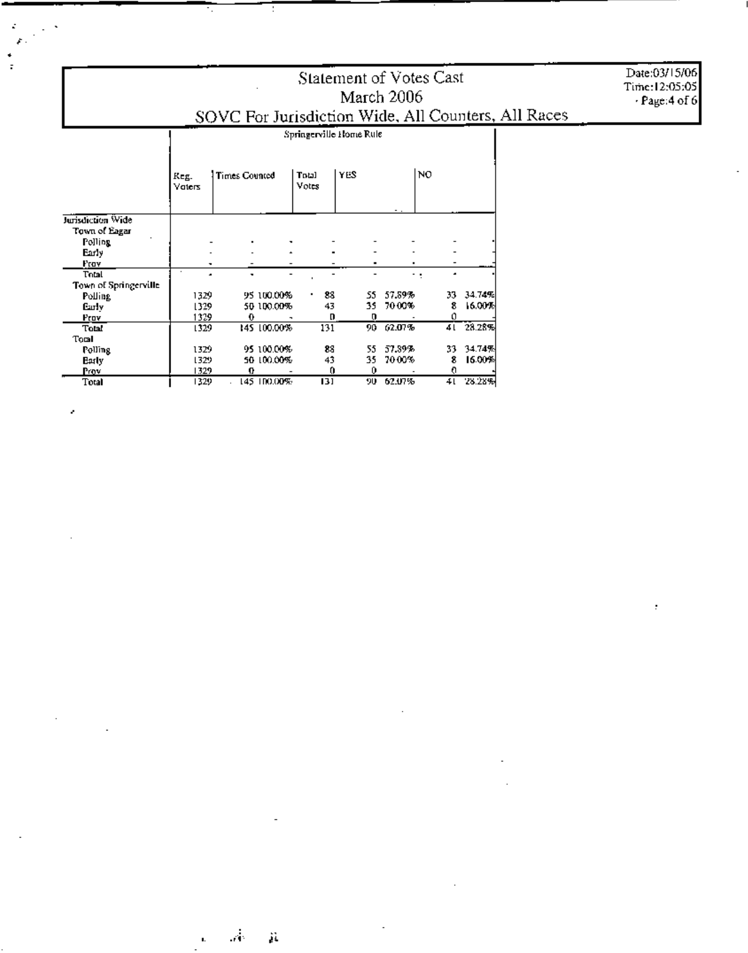# Statement of Votes Cast March 2006<br>SOVC For Jurisdiction Wide, All Counters, All Races

Date:03/15/06<br>Time:12:05:05<br>Page:4 of 6

 $\cdot$ 

|                        | Springerville Home Rule |                      |             |                |     |        |    |        |  |
|------------------------|-------------------------|----------------------|-------------|----------------|-----|--------|----|--------|--|
|                        | Keg.<br>Vaters          | <b>Times Counted</b> |             | Total<br>Votes | YES |        | NO |        |  |
| Jurisdiction Wide      |                         |                      |             |                |     |        |    |        |  |
| Town of Eagar          |                         |                      |             |                |     |        |    |        |  |
| Polling                |                         |                      |             |                |     |        |    |        |  |
| Early                  |                         |                      |             |                |     |        |    |        |  |
| Frov                   |                         |                      |             |                |     |        |    |        |  |
| Total                  | ٠                       |                      |             |                |     |        |    |        |  |
| Town of Springerville. |                         |                      |             |                |     |        |    |        |  |
| Polling                | 1329                    |                      | 95 100.00%  | 88             | 55. | 57.89% | 33 | 34.74% |  |
| <b>Carly</b>           | 1329                    |                      | 50 100.00%  | 43             | 35. | 70.00% | 8  | 16,00% |  |
| Prov                   | 1329                    | 0                    |             | D              | o   |        | 0  |        |  |
| Total                  | 1329                    |                      | 145 100.00% | 131            | 90. | 62.07% | 41 | 23.28% |  |
| Toml                   |                         |                      |             |                |     |        |    |        |  |
| Polling                | 1329                    |                      | 95 100,00%  | 88             | 55. | 57.89% | 33 | 34.74% |  |
| Early                  | 1329                    |                      | 50 100.00%  | 43             | 35  | 70.00% | 8  | 16.00% |  |
| Prov                   | 1329                    | Ω                    |             | 0              | Û   |        | o  |        |  |
| Total                  | 1329                    |                      | 145 IDO.OD% | 131            | 90. | 62.07% | 41 | 28.28% |  |

Ŧ

### $\sim$ ĵį.

 $\mathbf{L}$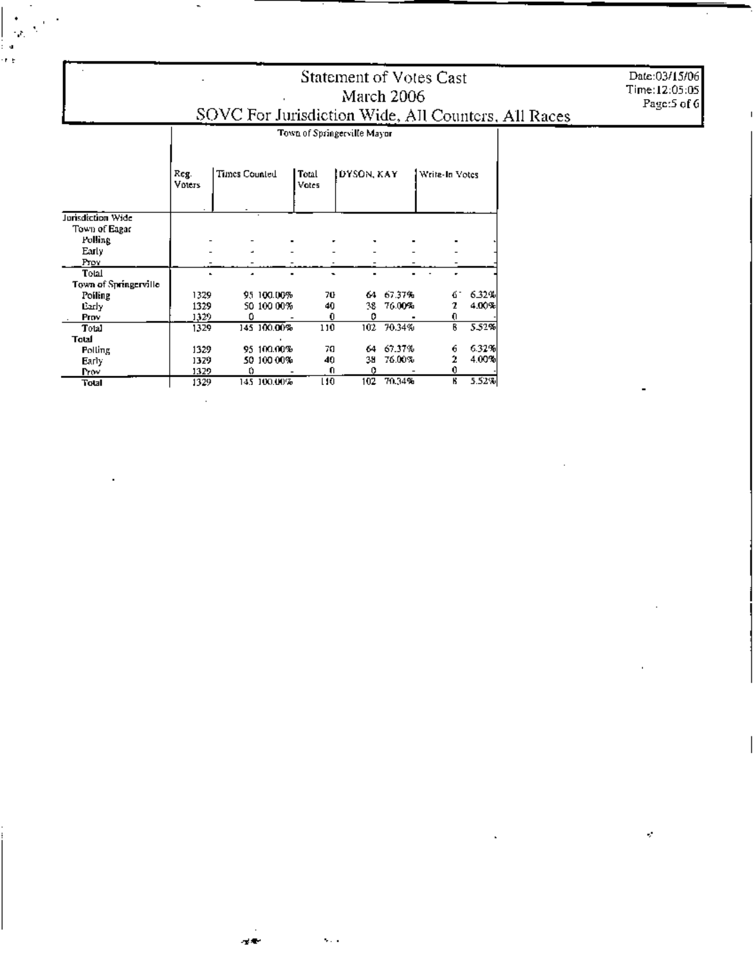## Statement of Votes Cast March 2006 SOVC For Jurisdiction Wide, All Counters, All Races

Date:03/15/06<br>Time:12:05:05 Page:5 of 6

 $\epsilon$ 

|                       | Reg.<br>Voters | Times Counted |             | Total<br>Votes | DYSON, KAY |        | Write-In Votes |       |
|-----------------------|----------------|---------------|-------------|----------------|------------|--------|----------------|-------|
| Jurisdiction Wide     |                |               |             |                |            |        |                |       |
| Town of Eagar         |                |               |             |                |            |        |                |       |
| Polling               |                |               |             |                |            |        |                |       |
| Early                 |                | ٠             |             |                |            |        |                |       |
| Prov                  |                |               |             |                |            |        |                |       |
| Total                 |                | ۰             |             |                |            |        |                |       |
| Town of Springerville |                |               |             |                |            |        |                |       |
| Poiling               | 1329           |               | 95 100.00%  | 70             | 64         | 67.37% | б.             | 6.32% |
| Early                 | 1329           |               | 50 100 00%  | 40             | 38.        | 76.00% | 2              | 4.00% |
| Prov                  | 1329           | Ω             |             | 0              | o          |        | O              |       |
| Total                 | 1329           |               | 145 100.00% | 110            | 102        | 70.34% | B              | 5.52% |
| Total                 |                |               |             |                |            |        |                |       |
| <b>Polling</b>        | 1329           |               | 95 100.00%  | 70             | 64         | 67.37% | 6              | 6.32% |
| Early.                | 1329           |               | 50 100 00%  | 40             | 38         | 76.00% | 2              | 4.00% |
| Prov                  | 1329           | 0             |             | O.             |            |        |                |       |
| Total                 | 1329           |               | 145-100.00% | LIO.           | 102        | 70.34% | К              | 5.52% |

 $\sim$ 

 $\sim$  .